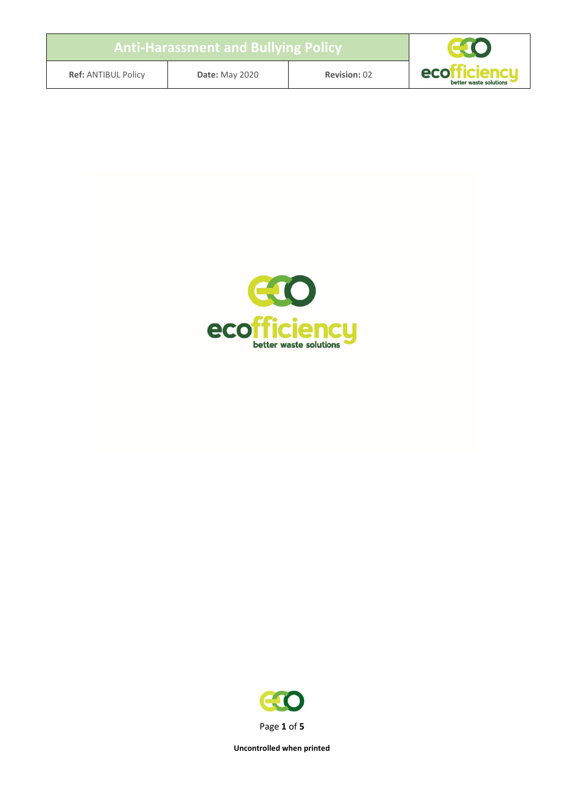### **Anti-Harassment and Bullying Policy**



**Ref:** ANTIBUL Policy **Date:** May 2020 **Revision:** 02



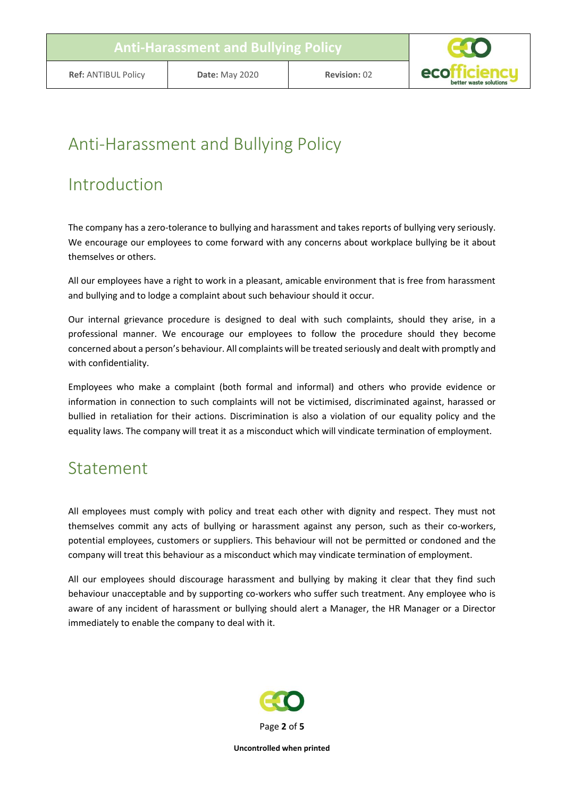

# Anti-Harassment and Bullying Policy

## Introduction

The company has a zero-tolerance to bullying and harassment and takes reports of bullying very seriously. We encourage our employees to come forward with any concerns about workplace bullying be it about themselves or others.

All our employees have a right to work in a pleasant, amicable environment that is free from harassment and bullying and to lodge a complaint about such behaviour should it occur.

Our internal grievance procedure is designed to deal with such complaints, should they arise, in a professional manner. We encourage our employees to follow the procedure should they become concerned about a person's behaviour. All complaints will be treated seriously and dealt with promptly and with confidentiality.

Employees who make a complaint (both formal and informal) and others who provide evidence or information in connection to such complaints will not be victimised, discriminated against, harassed or bullied in retaliation for their actions. Discrimination is also a violation of our equality policy and the equality laws. The company will treat it as a misconduct which will vindicate termination of employment.

### Statement

All employees must comply with policy and treat each other with dignity and respect. They must not themselves commit any acts of bullying or harassment against any person, such as their co-workers, potential employees, customers or suppliers. This behaviour will not be permitted or condoned and the company will treat this behaviour as a misconduct which may vindicate termination of employment.

All our employees should discourage harassment and bullying by making it clear that they find such behaviour unacceptable and by supporting co-workers who suffer such treatment. Any employee who is aware of any incident of harassment or bullying should alert a Manager, the HR Manager or a Director immediately to enable the company to deal with it.

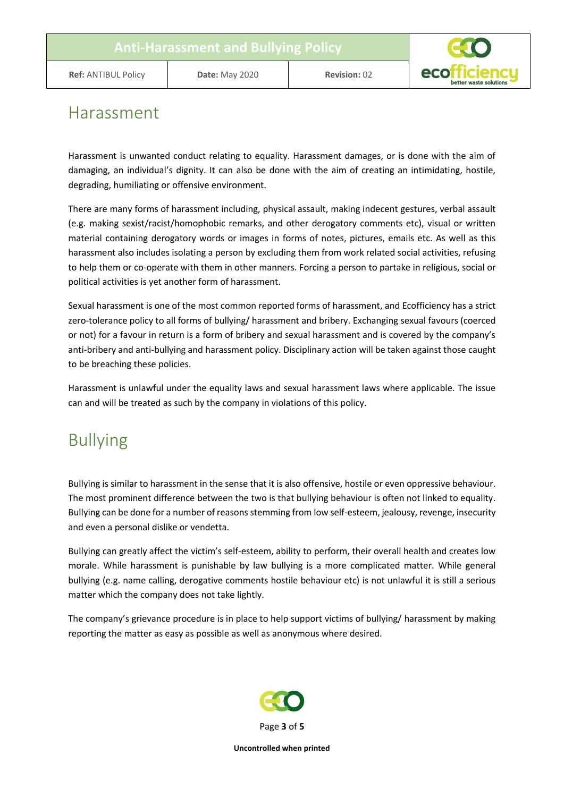

#### Harassment

Harassment is unwanted conduct relating to equality. Harassment damages, or is done with the aim of damaging, an individual's dignity. It can also be done with the aim of creating an intimidating, hostile, degrading, humiliating or offensive environment.

There are many forms of harassment including, physical assault, making indecent gestures, verbal assault (e.g. making sexist/racist/homophobic remarks, and other derogatory comments etc), visual or written material containing derogatory words or images in forms of notes, pictures, emails etc. As well as this harassment also includes isolating a person by excluding them from work related social activities, refusing to help them or co-operate with them in other manners. Forcing a person to partake in religious, social or political activities is yet another form of harassment.

Sexual harassment is one of the most common reported forms of harassment, and Ecofficiency has a strict zero-tolerance policy to all forms of bullying/ harassment and bribery. Exchanging sexual favours (coerced or not) for a favour in return is a form of bribery and sexual harassment and is covered by the company's anti-bribery and anti-bullying and harassment policy. Disciplinary action will be taken against those caught to be breaching these policies.

Harassment is unlawful under the equality laws and sexual harassment laws where applicable. The issue can and will be treated as such by the company in violations of this policy.

## Bullying

Bullying is similar to harassment in the sense that it is also offensive, hostile or even oppressive behaviour. The most prominent difference between the two is that bullying behaviour is often not linked to equality. Bullying can be done for a number of reasons stemming from low self-esteem, jealousy, revenge, insecurity and even a personal dislike or vendetta.

Bullying can greatly affect the victim's self-esteem, ability to perform, their overall health and creates low morale. While harassment is punishable by law bullying is a more complicated matter. While general bullying (e.g. name calling, derogative comments hostile behaviour etc) is not unlawful it is still a serious matter which the company does not take lightly.

The company's grievance procedure is in place to help support victims of bullying/ harassment by making reporting the matter as easy as possible as well as anonymous where desired.

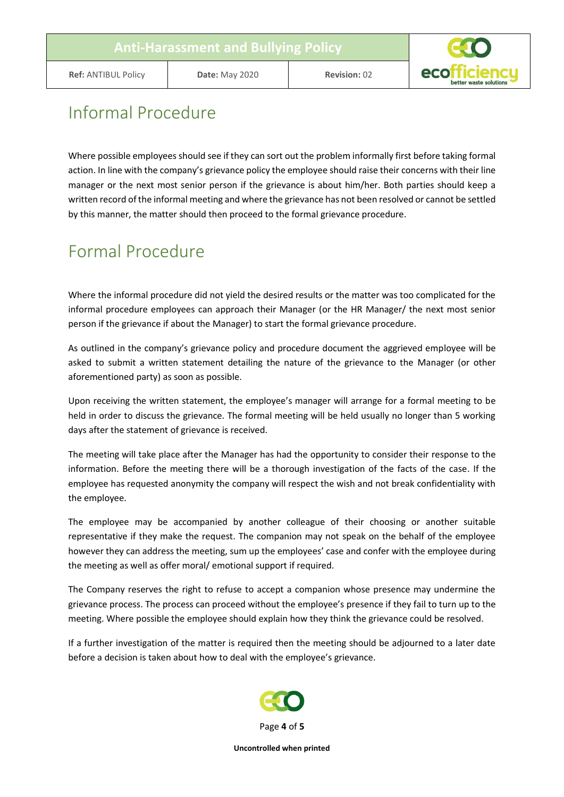

## Informal Procedure

Where possible employees should see if they can sort out the problem informally first before taking formal action. In line with the company's grievance policy the employee should raise their concerns with their line manager or the next most senior person if the grievance is about him/her. Both parties should keep a written record of the informal meeting and where the grievance has not been resolved or cannot be settled by this manner, the matter should then proceed to the formal grievance procedure.

## Formal Procedure

Where the informal procedure did not yield the desired results or the matter was too complicated for the informal procedure employees can approach their Manager (or the HR Manager/ the next most senior person if the grievance if about the Manager) to start the formal grievance procedure.

As outlined in the company's grievance policy and procedure document the aggrieved employee will be asked to submit a written statement detailing the nature of the grievance to the Manager (or other aforementioned party) as soon as possible.

Upon receiving the written statement, the employee's manager will arrange for a formal meeting to be held in order to discuss the grievance. The formal meeting will be held usually no longer than 5 working days after the statement of grievance is received.

The meeting will take place after the Manager has had the opportunity to consider their response to the information. Before the meeting there will be a thorough investigation of the facts of the case. If the employee has requested anonymity the company will respect the wish and not break confidentiality with the employee.

The employee may be accompanied by another colleague of their choosing or another suitable representative if they make the request. The companion may not speak on the behalf of the employee however they can address the meeting, sum up the employees' case and confer with the employee during the meeting as well as offer moral/ emotional support if required.

The Company reserves the right to refuse to accept a companion whose presence may undermine the grievance process. The process can proceed without the employee's presence if they fail to turn up to the meeting. Where possible the employee should explain how they think the grievance could be resolved.

If a further investigation of the matter is required then the meeting should be adjourned to a later date before a decision is taken about how to deal with the employee's grievance.